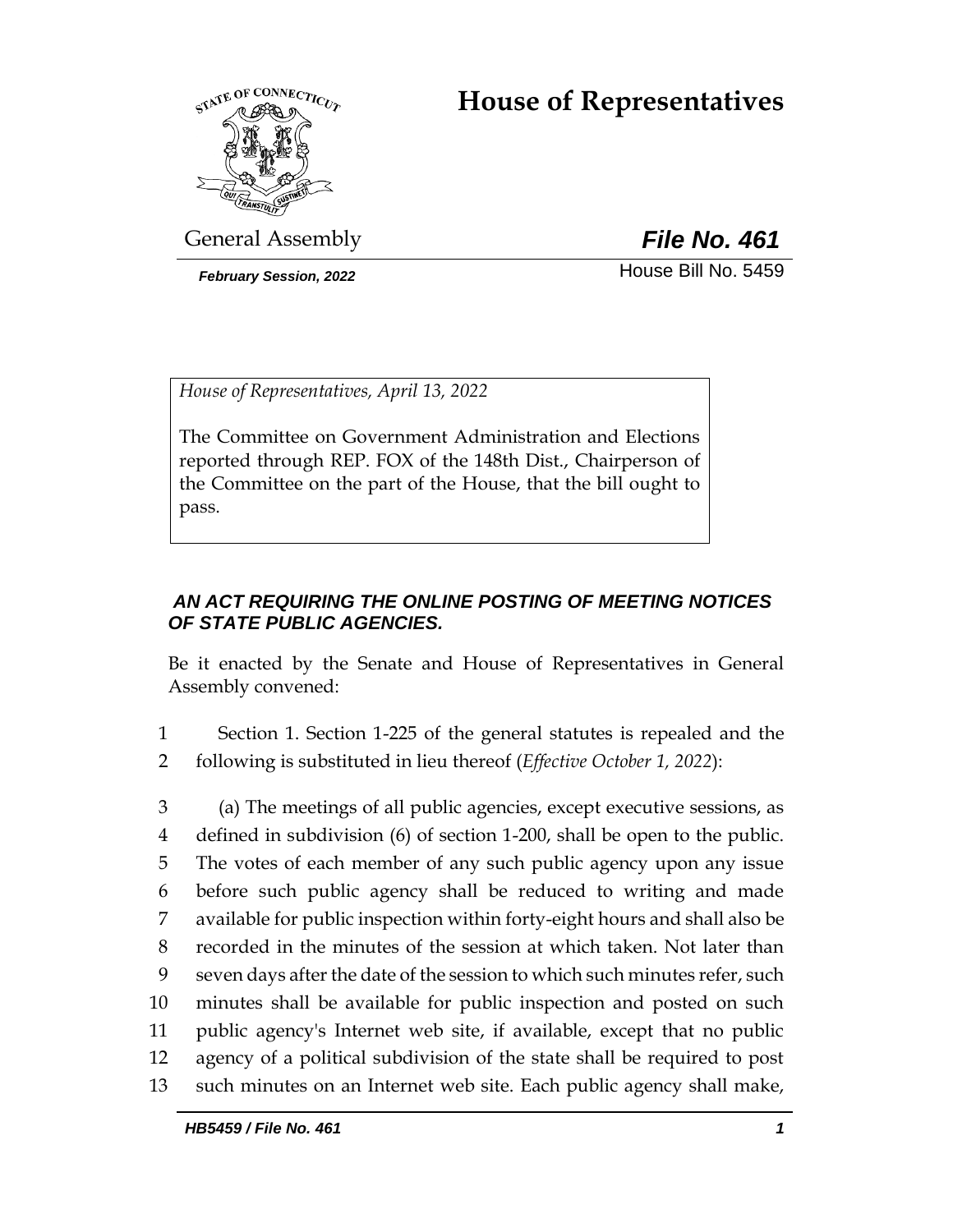# **House of Representatives**



General Assembly *File No. 461*

**February Session, 2022 House Bill No. 5459** 

*House of Representatives, April 13, 2022*

The Committee on Government Administration and Elections reported through REP. FOX of the 148th Dist., Chairperson of the Committee on the part of the House, that the bill ought to pass.

## *AN ACT REQUIRING THE ONLINE POSTING OF MEETING NOTICES OF STATE PUBLIC AGENCIES.*

Be it enacted by the Senate and House of Representatives in General Assembly convened:

1 Section 1. Section 1-225 of the general statutes is repealed and the 2 following is substituted in lieu thereof (*Effective October 1, 2022*):

 (a) The meetings of all public agencies, except executive sessions, as defined in subdivision (6) of section 1-200, shall be open to the public. The votes of each member of any such public agency upon any issue before such public agency shall be reduced to writing and made available for public inspection within forty-eight hours and shall also be recorded in the minutes of the session at which taken. Not later than seven days after the date of the session to which such minutes refer, such minutes shall be available for public inspection and posted on such public agency's Internet web site, if available, except that no public agency of a political subdivision of the state shall be required to post such minutes on an Internet web site. Each public agency shall make,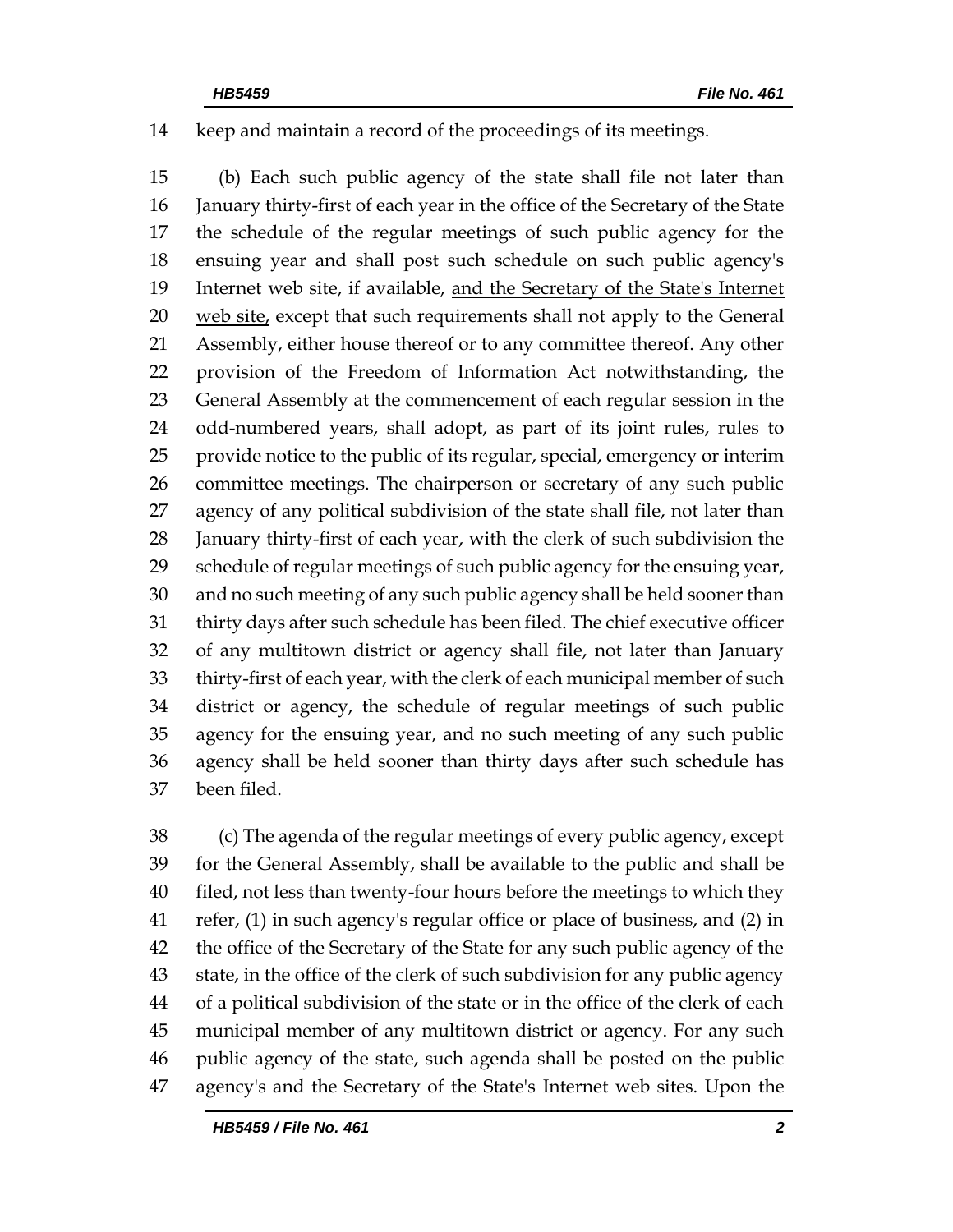keep and maintain a record of the proceedings of its meetings.

 (b) Each such public agency of the state shall file not later than January thirty-first of each year in the office of the Secretary of the State the schedule of the regular meetings of such public agency for the ensuing year and shall post such schedule on such public agency's Internet web site, if available, and the Secretary of the State's Internet web site, except that such requirements shall not apply to the General Assembly, either house thereof or to any committee thereof. Any other provision of the Freedom of Information Act notwithstanding, the General Assembly at the commencement of each regular session in the odd-numbered years, shall adopt, as part of its joint rules, rules to provide notice to the public of its regular, special, emergency or interim committee meetings. The chairperson or secretary of any such public agency of any political subdivision of the state shall file, not later than January thirty-first of each year, with the clerk of such subdivision the schedule of regular meetings of such public agency for the ensuing year, and no such meeting of any such public agency shall be held sooner than thirty days after such schedule has been filed. The chief executive officer of any multitown district or agency shall file, not later than January thirty-first of each year, with the clerk of each municipal member of such district or agency, the schedule of regular meetings of such public agency for the ensuing year, and no such meeting of any such public agency shall be held sooner than thirty days after such schedule has been filed.

 (c) The agenda of the regular meetings of every public agency, except for the General Assembly, shall be available to the public and shall be filed, not less than twenty-four hours before the meetings to which they refer, (1) in such agency's regular office or place of business, and (2) in the office of the Secretary of the State for any such public agency of the state, in the office of the clerk of such subdivision for any public agency of a political subdivision of the state or in the office of the clerk of each municipal member of any multitown district or agency. For any such public agency of the state, such agenda shall be posted on the public agency's and the Secretary of the State's Internet web sites. Upon the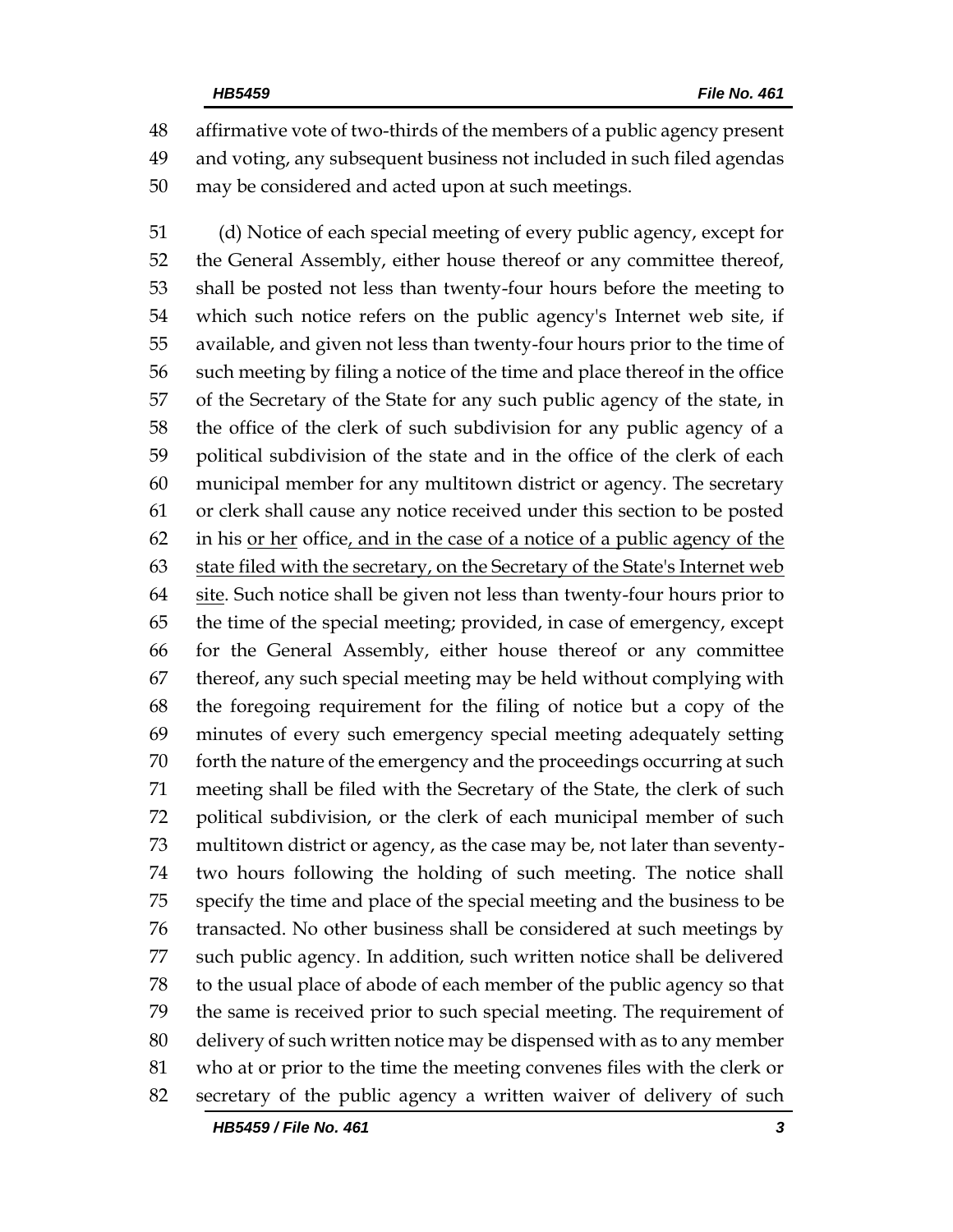affirmative vote of two-thirds of the members of a public agency present and voting, any subsequent business not included in such filed agendas may be considered and acted upon at such meetings.

 (d) Notice of each special meeting of every public agency, except for the General Assembly, either house thereof or any committee thereof, shall be posted not less than twenty-four hours before the meeting to which such notice refers on the public agency's Internet web site, if available, and given not less than twenty-four hours prior to the time of such meeting by filing a notice of the time and place thereof in the office of the Secretary of the State for any such public agency of the state, in the office of the clerk of such subdivision for any public agency of a political subdivision of the state and in the office of the clerk of each municipal member for any multitown district or agency. The secretary or clerk shall cause any notice received under this section to be posted in his or her office, and in the case of a notice of a public agency of the state filed with the secretary, on the Secretary of the State's Internet web 64 site. Such notice shall be given not less than twenty-four hours prior to the time of the special meeting; provided, in case of emergency, except for the General Assembly, either house thereof or any committee thereof, any such special meeting may be held without complying with the foregoing requirement for the filing of notice but a copy of the minutes of every such emergency special meeting adequately setting forth the nature of the emergency and the proceedings occurring at such meeting shall be filed with the Secretary of the State, the clerk of such political subdivision, or the clerk of each municipal member of such multitown district or agency, as the case may be, not later than seventy- two hours following the holding of such meeting. The notice shall specify the time and place of the special meeting and the business to be transacted. No other business shall be considered at such meetings by such public agency. In addition, such written notice shall be delivered to the usual place of abode of each member of the public agency so that the same is received prior to such special meeting. The requirement of delivery of such written notice may be dispensed with as to any member who at or prior to the time the meeting convenes files with the clerk or secretary of the public agency a written waiver of delivery of such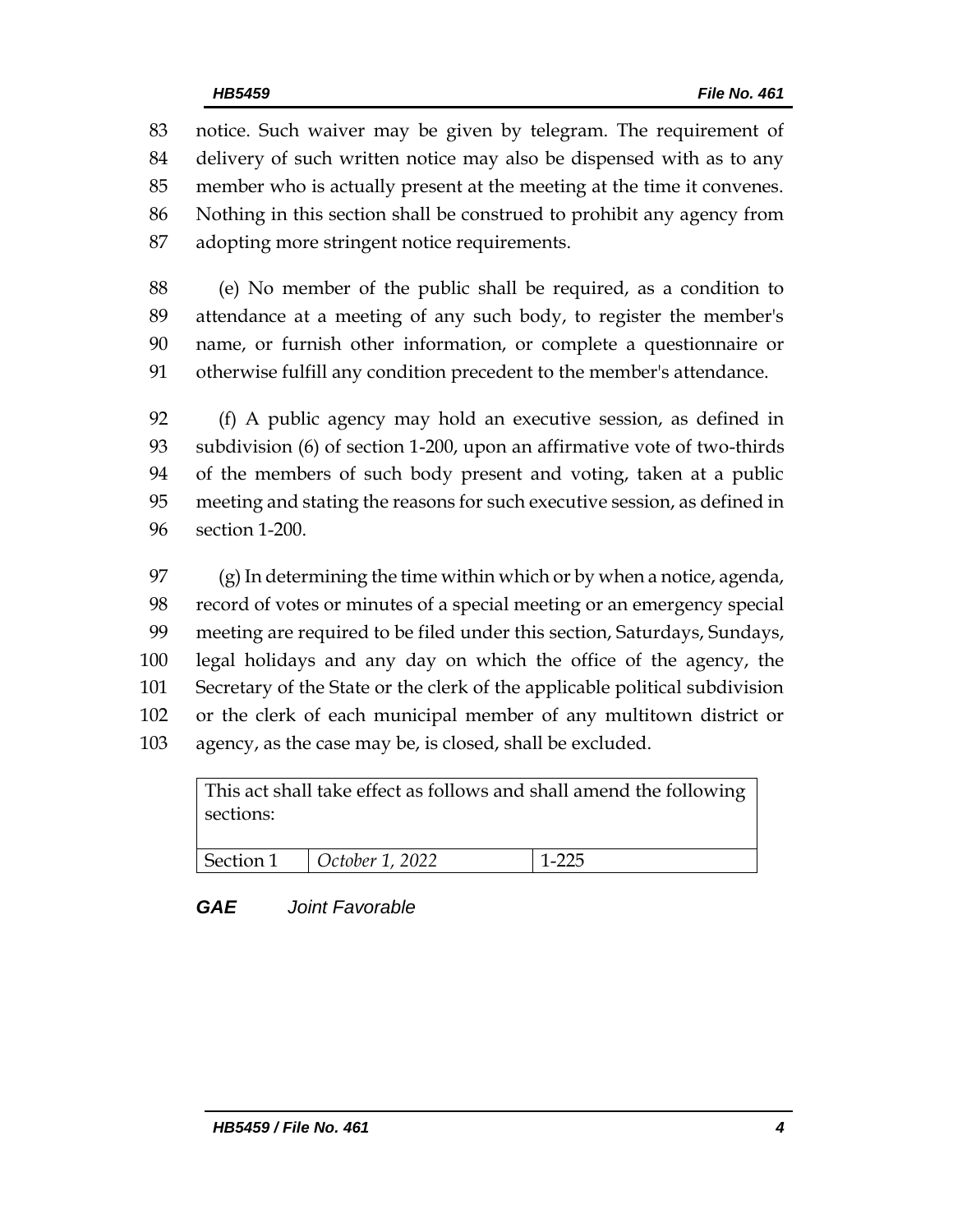notice. Such waiver may be given by telegram. The requirement of delivery of such written notice may also be dispensed with as to any member who is actually present at the meeting at the time it convenes. Nothing in this section shall be construed to prohibit any agency from adopting more stringent notice requirements.

 (e) No member of the public shall be required, as a condition to attendance at a meeting of any such body, to register the member's name, or furnish other information, or complete a questionnaire or otherwise fulfill any condition precedent to the member's attendance.

 (f) A public agency may hold an executive session, as defined in subdivision (6) of section 1-200, upon an affirmative vote of two-thirds of the members of such body present and voting, taken at a public meeting and stating the reasons for such executive session, as defined in section 1-200.

97 (g) In determining the time within which or by when a notice, agenda, record of votes or minutes of a special meeting or an emergency special meeting are required to be filed under this section, Saturdays, Sundays, legal holidays and any day on which the office of the agency, the Secretary of the State or the clerk of the applicable political subdivision or the clerk of each municipal member of any multitown district or agency, as the case may be, is closed, shall be excluded.

This act shall take effect as follows and shall amend the following sections:

**Section 1** *October 1, 2022* 1-225

*GAE Joint Favorable*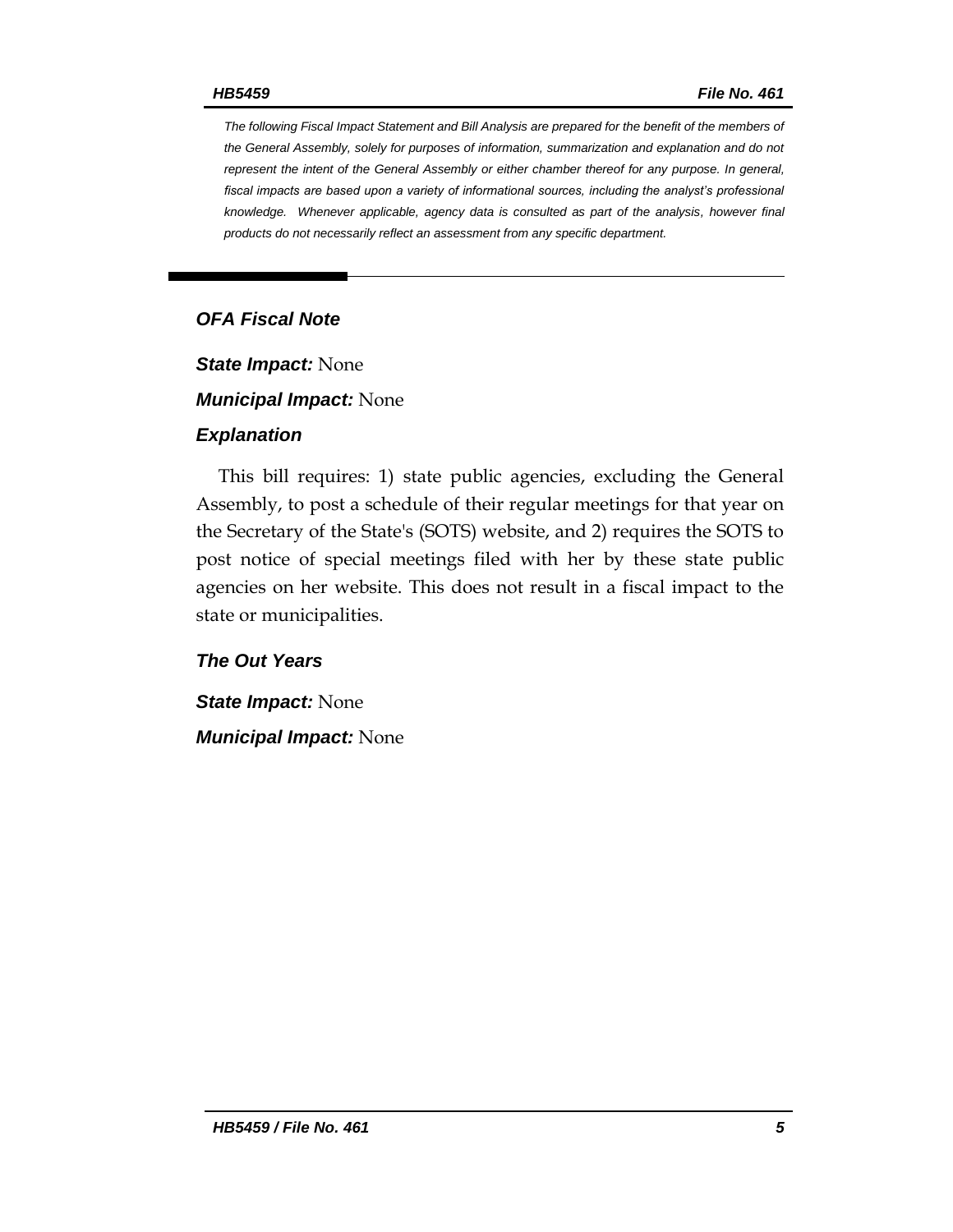*The following Fiscal Impact Statement and Bill Analysis are prepared for the benefit of the members of the General Assembly, solely for purposes of information, summarization and explanation and do not represent the intent of the General Assembly or either chamber thereof for any purpose. In general,*  fiscal impacts are based upon a variety of informational sources, including the analyst's professional *knowledge. Whenever applicable, agency data is consulted as part of the analysis, however final products do not necessarily reflect an assessment from any specific department.*

### *OFA Fiscal Note*

*State Impact:* None

*Municipal Impact:* None

#### *Explanation*

This bill requires: 1) state public agencies, excluding the General Assembly, to post a schedule of their regular meetings for that year on the Secretary of the State's (SOTS) website, and 2) requires the SOTS to post notice of special meetings filed with her by these state public agencies on her website. This does not result in a fiscal impact to the state or municipalities.

### *The Out Years*

*State Impact:* None *Municipal Impact:* None